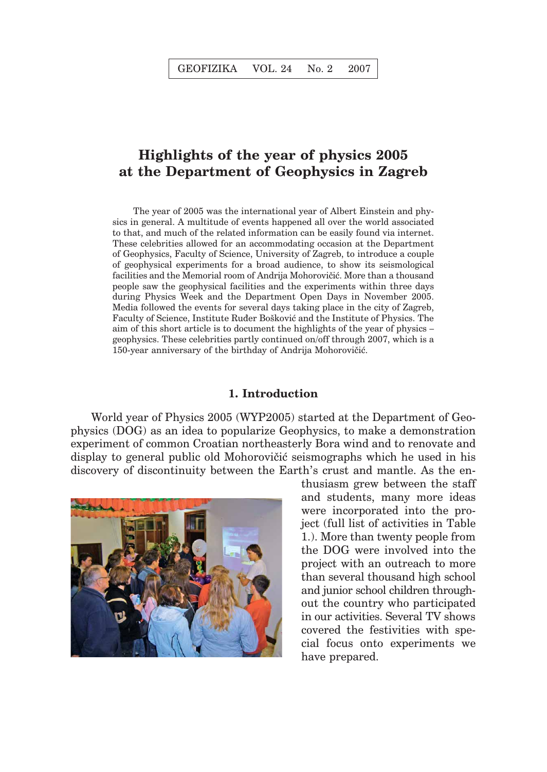## **Highlights of the year of physics 2005 at the Department of Geophysics in Zagreb**

The year of 2005 was the international year of Albert Einstein and physics in general. A multitude of events happened all over the world associated to that, and much of the related information can be easily found via internet. These celebrities allowed for an accommodating occasion at the Department of Geophysics, Faculty of Science, University of Zagreb, to introduce a couple of geophysical experiments for a broad audience, to show its seismological facilities and the Memorial room of Andrija Mohorovičić. More than a thousand people saw the geophysical facilities and the experiments within three days during Physics Week and the Department Open Days in November 2005. Media followed the events for several days taking place in the city of Zagreb, Faculty of Science, Institute Ruder Bošković and the Institute of Physics. The aim of this short article is to document the highlights of the year of physics – geophysics. These celebrities partly continued on/off through 2007, which is a 150-year anniversary of the birthday of Andrija Mohorovičić.

## **1. Introduction**

World year of Physics 2005 (WYP2005) started at the Department of Geophysics (DOG) as an idea to popularize Geophysics, to make a demonstration experiment of common Croatian northeasterly Bora wind and to renovate and display to general public old Mohorovičić seismographs which he used in his discovery of discontinuity between the Earth's crust and mantle. As the en-



thusiasm grew between the staff and students, many more ideas were incorporated into the project (full list of activities in Table 1.). More than twenty people from the DOG were involved into the project with an outreach to more than several thousand high school and junior school children throughout the country who participated in our activities. Several TV shows covered the festivities with special focus onto experiments we have prepared.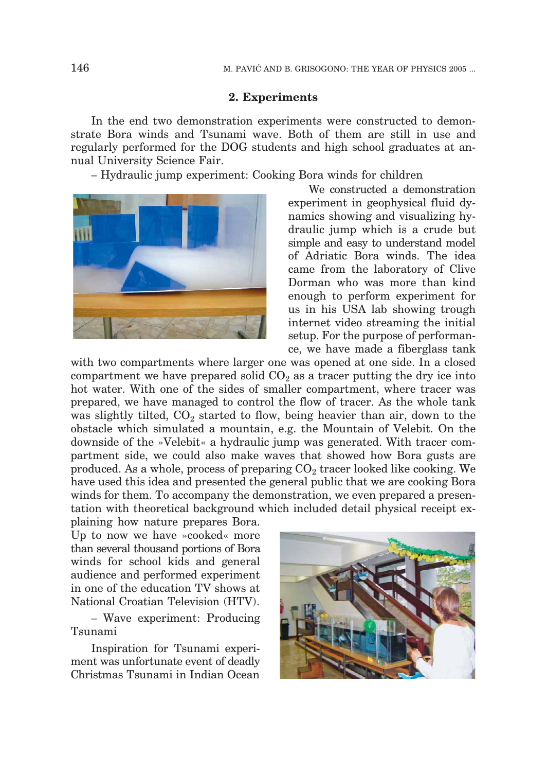## **2. Experiments**

In the end two demonstration experiments were constructed to demonstrate Bora winds and Tsunami wave. Both of them are still in use and regularly performed for the DOG students and high school graduates at annual University Science Fair.

– Hydraulic jump experiment: Cooking Bora winds for children



We constructed a demonstration experiment in geophysical fluid dynamics showing and visualizing hydraulic jump which is a crude but simple and easy to understand model of Adriatic Bora winds. The idea came from the laboratory of Clive Dorman who was more than kind enough to perform experiment for us in his USA lab showing trough internet video streaming the initial setup. For the purpose of performance, we have made a fiberglass tank

with two compartments where larger one was opened at one side. In a closed compartment we have prepared solid  $CO<sub>2</sub>$  as a tracer putting the dry ice into hot water. With one of the sides of smaller compartment, where tracer was prepared, we have managed to control the flow of tracer. As the whole tank was slightly tilted,  $CO<sub>2</sub>$  started to flow, being heavier than air, down to the obstacle which simulated a mountain, e.g. the Mountain of Velebit. On the downside of the »Velebit« a hydraulic jump was generated. With tracer compartment side, we could also make waves that showed how Bora gusts are produced. As a whole, process of preparing  $CO<sub>2</sub>$  tracer looked like cooking. We have used this idea and presented the general public that we are cooking Bora winds for them. To accompany the demonstration, we even prepared a presentation with theoretical background which included detail physical receipt explaining how nature prepares Bora.

Up to now we have »cooked« more than several thousand portions of Bora winds for school kids and general audience and performed experiment in one of the education TV shows at National Croatian Television (HTV).

– Wave experiment: Producing Tsunami

Inspiration for Tsunami experiment was unfortunate event of deadly Christmas Tsunami in Indian Ocean

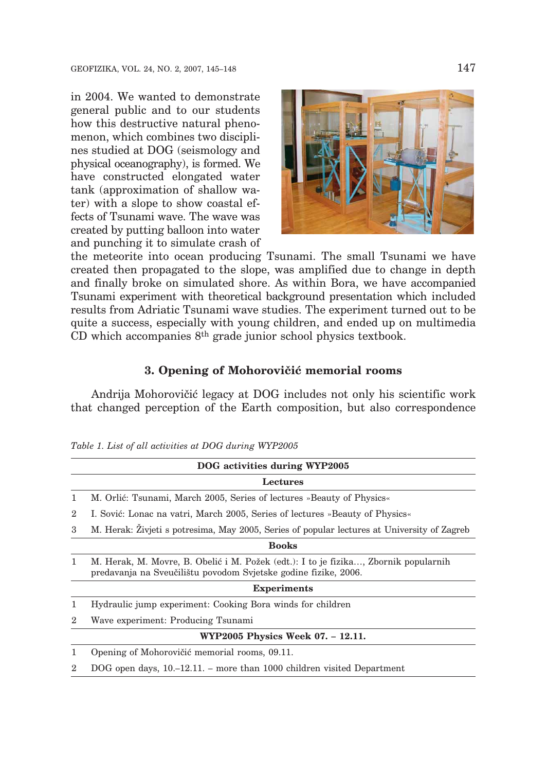in 2004. We wanted to demonstrate general public and to our students how this destructive natural phenomenon, which combines two disciplines studied at DOG (seismology and physical oceanography), is formed. We have constructed elongated water tank (approximation of shallow water) with a slope to show coastal effects of Tsunami wave. The wave was created by putting balloon into water and punching it to simulate crash of



the meteorite into ocean producing Tsunami. The small Tsunami we have created then propagated to the slope, was amplified due to change in depth and finally broke on simulated shore. As within Bora, we have accompanied Tsunami experiment with theoretical background presentation which included results from Adriatic Tsunami wave studies. The experiment turned out to be quite a success, especially with young children, and ended up on multimedia CD which accompanies 8th grade junior school physics textbook.

## **3. Opening of Mohorovičić memorial rooms**

Andrija Mohorovičić legacy at DOG includes not only his scientific work that changed perception of the Earth composition, but also correspondence

|                | DOG activities during WYP2005                                                                                                                          |
|----------------|--------------------------------------------------------------------------------------------------------------------------------------------------------|
| Lectures       |                                                                                                                                                        |
| 1              | M. Orlić: Tsunami, March 2005, Series of lectures »Beauty of Physics«                                                                                  |
| $\overline{2}$ | I. Sović: Lonac na vatri, March 2005, Series of lectures »Beauty of Physics«                                                                           |
| 3              | M. Herak: Zivjeti s potresima, May 2005, Series of popular lectures at University of Zagreb                                                            |
|                | <b>Books</b>                                                                                                                                           |
| 1              | M. Herak, M. Movre, B. Obelić i M. Požek (edt.): I to je fizika, Zbornik popularnih<br>predavanja na Sveučilištu povodom Svjetske godine fizike, 2006. |
|                | <b>Experiments</b>                                                                                                                                     |
| 1              | Hydraulic jump experiment: Cooking Bora winds for children                                                                                             |
| $\overline{2}$ | Wave experiment: Producing Tsunami                                                                                                                     |
|                | WYP2005 Physics Week 07. - 12.11.                                                                                                                      |
| 1              | Opening of Mohorovičić memorial rooms, 09.11.                                                                                                          |
| $\overline{2}$ | DOG open days, $10,-12.11$ . – more than 1000 children visited Department                                                                              |
|                |                                                                                                                                                        |

*Table 1. List of all activities at DOG during WYP2005*